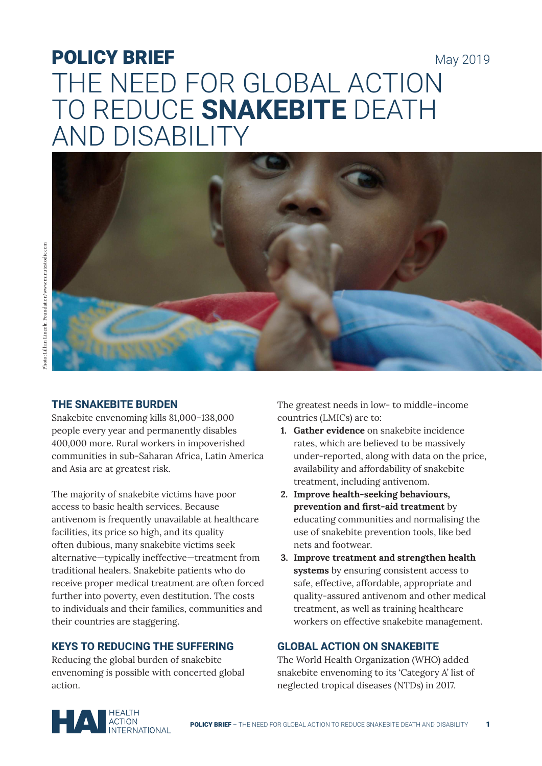# POLICY BRIEF May 2019 THE NEED FOR GLOBAL ACTION TO REDUCE **SNAKEBITE** DEATH AND DISABILITY



#### **THE SNAKEBITE BURDEN**

Snakebite envenoming kills 81,000–138,000 people every year and permanently disables 400,000 more. Rural workers in impoverished communities in sub-Saharan Africa, Latin America and Asia are at greatest risk.

The majority of snakebite victims have poor access to basic health services. Because antivenom is frequently unavailable at healthcare facilities, its price so high, and its quality often dubious, many snakebite victims seek alternative—typically ineffective—treatment from traditional healers. Snakebite patients who do receive proper medical treatment are often forced further into poverty, even destitution. The costs to individuals and their families, communities and their countries are staggering.

## **KEYS TO REDUCING THE SUFFERING**

Reducing the global burden of snakebite envenoming is possible with concerted global action.

The greatest needs in low- to middle-income countries (LMICs) are to:

- **1. Gather evidence** on snakebite incidence rates, which are believed to be massively under-reported, along with data on the price, availability and affordability of snakebite treatment, including antivenom.
- **2. Improve health-seeking behaviours, prevention and first-aid treatment** by educating communities and normalising the use of snakebite prevention tools, like bed nets and footwear.
- **3. Improve treatment and strengthen health systems** by ensuring consistent access to safe, effective, affordable, appropriate and quality-assured antivenom and other medical treatment, as well as training healthcare workers on effective snakebite management.

## **GLOBAL ACTION ON SNAKEBITE**

The World Health Organization (WHO) added snakebite envenoming to its 'Category A' list of neglected tropical diseases (NTDs) in 2017.